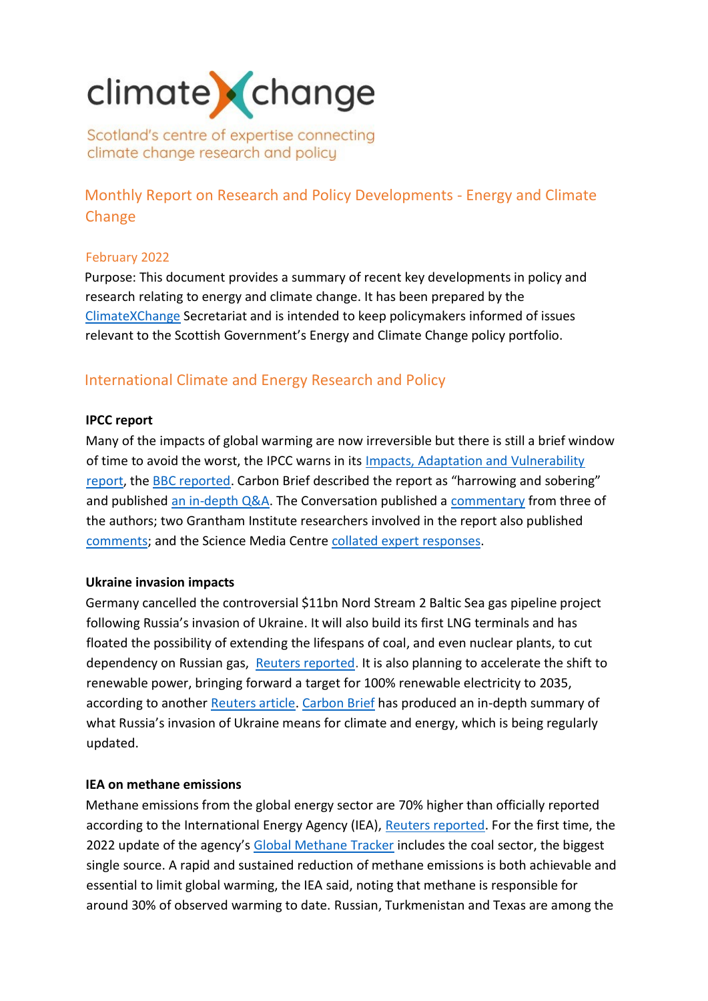# climate change

Scotland's centre of expertise connecting climate change research and policy

Monthly Report on Research and Policy Developments - Energy and Climate Change

## February 2022

Purpose: This document provides a summary of recent key developments in policy and research relating to energy and climate change. It has been prepared by the [ClimateXChange](http://www.climatexchange.org.uk/) Secretariat and is intended to keep policymakers informed of issues relevant to the Scottish Government's Energy and Climate Change policy portfolio.

## International Climate and Energy Research and Policy

## **IPCC report**

Many of the impacts of global warming are now irreversible but there is still a brief window of time to avoid the worst, the IPCC warns in its Impacts, Adaptation and Vulnerability [report,](https://www.ipcc.ch/report/sixth-assessment-report-working-group-ii/) the [BBC reported](https://www.bbc.co.uk/news/science-environment-60525591). Carbon Brief described the report as "harrowing and sobering" and published [an in-depth Q&A.](https://www.carbonbrief.org/in-depth-qa-the-ipccs-sixth-assessment-on-how-climate-change-impacts-the-world) The Conversation published a [commentary](https://theconversation.com/five-key-points-in-the-ipcc-report-on-climate-change-impacts-and-adaptation-178195) from three of the authors; two Grantham Institute researchers involved in the report also published [comments;](https://www.lse.ac.uk/granthaminstitute/news/lse-comments-on-ipcc-report-dr-swenja-surminksi-and-bob-ward/?mc_cid=5b3f46af2a&mc_eid=3f7962c983) and the Science Media Centre [collated expert responses.](https://www.sciencemediacentre.org/expert-reaction-to-ar6-working-group-2-impacts-adaptation-and-vulnerability-as-published-by-the-ipcc/)

## **Ukraine invasion impacts**

Germany cancelled the controversial \$11bn Nord Stream 2 Baltic Sea gas pipeline project following Russia's invasion of Ukraine. It will also build its first LNG terminals and has floated the possibility of extending the lifespans of coal, and even nuclear plants, to cut dependency on Russian gas, [Reuters reported.](https://www.reuters.com/business/energy/germany-step-up-plans-cut-dependence-russia-gas-2022-02-27/) It is also planning to accelerate the shift to renewable power, bringing forward a target for 100% renewable electricity to 2035, according to another [Reuters article.](https://www.reuters.com/business/sustainable-business/germany-aims-get-100-energy-renewable-sources-by-2035-2022-02-28/) [Carbon Brief](http://click.revue.email/ss/c/41iAGPJjZJOWpePAl2nuCAO5AiLcVp2YyyubAsSsPwtoEykbOSrvDPtsaf75uFYXxIhxfS_v9YmVW9OBsu7OEo4E0VENEb_UVKqxaZh7Ort6I5V3oLPEqYvihNOqbKao1sYemqVIpaTNRdQnyqnHqES1qzVrkhU3Wn6eBMRg6O49hbDM_mFIE99h4gEZQsi3Y1OekPe_-PvWs9oCBYvNSASwOkT9abD0_b9POHTxKZHYujVoFmbRzlXc9EOeGLoPsAHne6ZLOiZFGa6hDsmtr8y1yp37HbJ8AKLAxyRQ8-k/3jy/2Z5fxhZuRTCk5yNxo5BWKw/h26/jmFQP0hXTnW2vVRsjCF8NIHzCrLHb7w6RyHe2ORYeJo) has produced an in-depth summary of what Russia's invasion of Ukraine means for climate and energy, which is being regularly updated.

### **IEA on methane emissions**

Methane emissions from the global energy sector are 70% higher than officially reported according to the International Energy Agency (IEA), [Reuters reported.](https://www.reuters.com/markets/commodities/energy-sector-methane-emissions-70-higher-than-official-figures-iea-2022-02-23/) For the first time, the 2022 update of the agency's [Global Methane Tracker](https://www.iea.org/reports/global-methane-tracker-2022/overview) includes the coal sector, the biggest single source. A rapid and sustained reduction of methane emissions is both achievable and essential to limit global warming, the IEA said, noting that methane is responsible for around 30% of observed warming to date. Russian, Turkmenistan and Texas are among the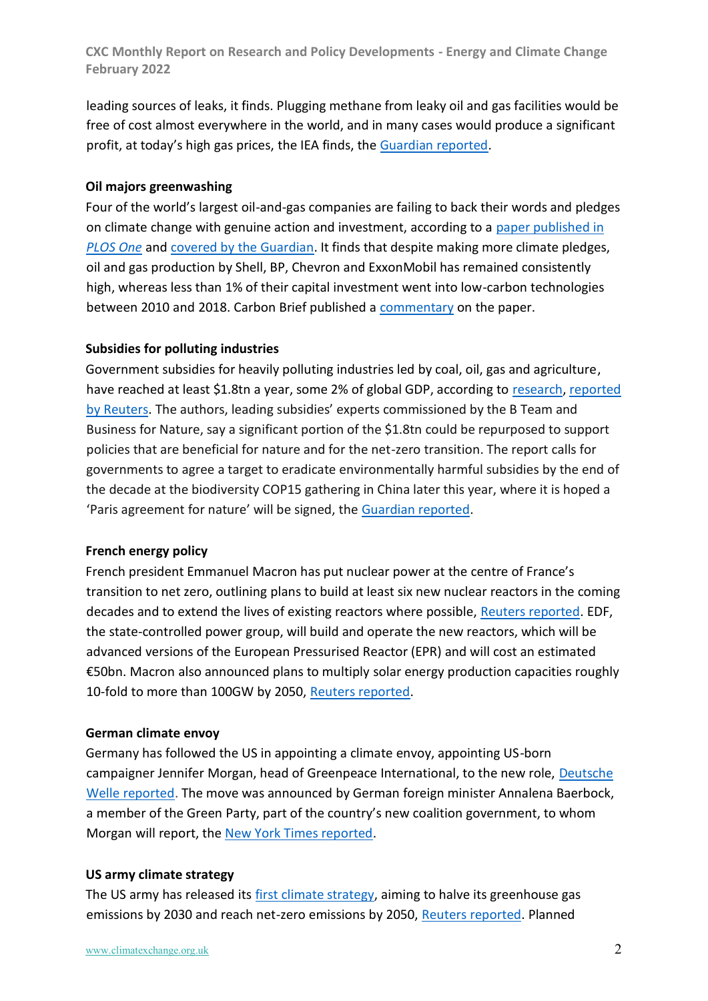leading sources of leaks, it finds. Plugging methane from leaky oil and gas facilities would be free of cost almost everywhere in the world, and in many cases would produce a significant profit, at today's high gas prices, the IEA finds, the [Guardian reported.](https://www.theguardian.com/environment/2022/feb/23/oil-and-gas-facilities-could-profit-from-plugging-methane-leaks-iea-says)

## **Oil majors greenwashing**

Four of the world's largest oil-and-gas companies are failing to back their words and pledges on climate change with genuine action and investment, according to a [paper published in](https://journals.plos.org/plosone/article?id=10.1371/journal.pone.0263596)  *[PLOS One](https://journals.plos.org/plosone/article?id=10.1371/journal.pone.0263596)* and covered by [the Guardian.](https://www.theguardian.com/environment/2022/feb/16/oil-firms-climate-claims-are-greenwashing-study-concludes) It finds that despite making more climate pledges, oil and gas production by Shell, BP, Chevron and ExxonMobil has remained consistently high, whereas less than 1% of their capital investment went into low-carbon technologies between 2010 and 2018. Carbon Brief published a [commentary](https://www.carbonbrief.org/oil-majors-not-walking-the-talk-on-climate-action-study-confirms?utm_campaign=Carbon%20Brief%20Daily%20Briefing&utm_content=20220217&utm_medium=email&utm_source=Revue%20Daily) on the paper.

## **Subsidies for polluting industries**

Government subsidies for heavily polluting industries led by coal, oil, gas and agriculture, have reached at least \$1.8tn a year, some 2% of global GDP, according to [research,](https://www.businessfornature.org/news/subsidy-reform) [reported](https://www.reuters.com/markets/commodities/global-nature-pact-urged-reform-harmful-subsidies-18-trln-year-2022-02-17/)  [by Reuters.](https://www.reuters.com/markets/commodities/global-nature-pact-urged-reform-harmful-subsidies-18-trln-year-2022-02-17/) The authors, leading subsidies' experts commissioned by the B Team and Business for Nature, say a significant portion of the \$1.8tn could be repurposed to support policies that are beneficial for nature and for the net-zero transition. The report calls for governments to agree a target to eradicate environmentally harmful subsidies by the end of the decade at the biodiversity COP15 gathering in China later this year, where it is hoped a 'Paris agreement for nature' will be signed, the [Guardian reported.](https://www.theguardian.com/environment/2022/feb/17/world-spends-18tn-a-year-on-subsidies-that-harm-environment-study-finds-aoe)

### **French energy policy**

French president Emmanuel Macron has put nuclear power at the centre of France's transition to net zero, outlining plans to build at least six new nuclear reactors in the coming decades and to extend the lives of existing reactors where possible, [Reuters reported.](https://www.reuters.com/business/energy/macron-bets-nuclear-carbon-neutrality-push-announces-new-reactors-2022-02-10/) EDF, the state-controlled power group, will build and operate the new reactors, which will be advanced versions of the European Pressurised Reactor (EPR) and will cost an estimated €50bn. Macron also announced plans to multiply solar energy production capacities roughly 10-fold to more than 100GW by 2050, [Reuters reported.](https://www.reuters.com/business/environment/france-boost-solar-energy-capacity-beyond-100-gw-by-2050-says-macron-2022-02-10/?utm_campaign=Carbon%20Brief%20Daily%20Briefing&utm_content=20220211&utm_medium=email&utm_source=Revue%20Daily)

### **German climate envoy**

Germany has followed the US in appointing a climate envoy, appointing US-born campaigner Jennifer Morgan, head of Greenpeace International, to the new role, Deutsche [Welle reported.](https://www.dw.com/en/greenpeace-head-jennifer-morgan-becomes-germanys-first-climate-envoy/a-60704120) The move was announced by German foreign minister Annalena Baerbock, a member of the Green Party, part of the country's new coalition government, to whom Morgan will report, the [New York Times reported.](https://www.nytimes.com/2022/02/09/world/europe/germany-jennifer-morgan-greenpeace.html)

## **US army climate strategy**

The US army has released its first [climate strategy,](https://www.army.mil/standto/archive/2022/02/08/) aiming to halve its greenhouse gas emissions by 2030 and reach net-zero emissions by 2050, [Reuters reported.](https://www.reuters.com/markets/commodities/us-armys-first-climate-strategy-calls-emissions-cuts-base-protections-2022-02-08/) Planned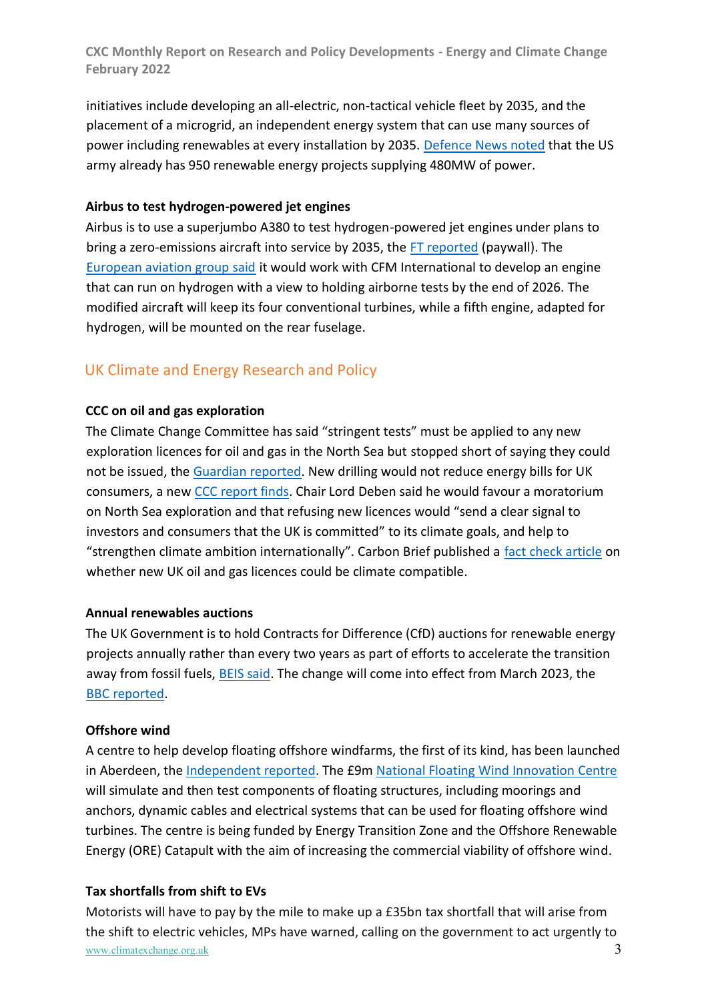initiatives include developing an all-electric, non-tactical vehicle fleet by 2035, and the placement of a microgrid, an independent energy system that can use many sources of power including renewables at every installation by 2035. [Defence News](https://www.defensenews.com/land/2022/02/08/with-new-climate-strategy-army-aims-to-prepare-soldiers-for-harsher-environments/) noted that the US army already has 950 renewable energy projects supplying 480MW of power.

## **Airbus to test hydrogen-powered jet engines**

Airbus is to use a superjumbo A380 to test hydrogen-powered jet engines under plans to bring a zero-emissions aircraft into service by 2035, the [FT reported](https://www.ft.com/content/3a5f7756-781a-418e-a151-0c87f85fa3df) (paywall). The [European aviation group said](https://www.airbus.com/en/newsroom/press-releases/2022-02-airbus-and-cfm-international-to-pioneer-hydrogen-combustion) it would work with CFM International to develop an engine that can run on hydrogen with a view to holding airborne tests by the end of 2026. The modified aircraft will keep its four conventional turbines, while a fifth engine, adapted for hydrogen, will be mounted on the rear fuselage.

# UK Climate and Energy Research and Policy

## **CCC on oil and gas exploration**

The Climate Change Committee has said "stringent tests" must be applied to any new exploration licences for oil and gas in the North Sea but stopped short of saying they could not be issued, the [Guardian reported.](https://www.theguardian.com/environment/2022/feb/24/north-sea-oil-exploration-should-not-proceed-but-can-says-uks-climate-committee) New drilling would not reduce energy bills for UK consumers, a new [CCC report finds.](https://www.theccc.org.uk/publication/letter-climate-compatibility-of-new-oil-and-gas-fields/) Chair Lord Deben said he would favour a moratorium on North Sea exploration and that refusing new licences would "send a clear signal to investors and consumers that the UK is committed" to its climate goals, and help to "strengthen climate ambition internationally". Carbon Brief published a fact [check article](https://www.carbonbrief.org/factcheck-can-new-uk-oil-and-gas-licences-ever-be-climate-compatible?utm_campaign=Daily%20Briefing&utm_content=20220224&utm_medium=email&utm_source=Revue%20newsletter) on whether new UK oil and gas licences could be climate compatible.

### **Annual renewables auctions**

The UK Government is to hold Contracts for Difference (CfD) auctions for renewable energy projects annually rather than every two years as part of efforts to accelerate the transition away from fossil fuels, [BEIS said.](https://www.gov.uk/government/news/government-hits-accelerator-on-low-cost-renewable-power) The change will come into effect from March 2023, the [BBC reported.](https://www.bbc.co.uk/news/science-environment-60325908)

### **Offshore wind**

A centre to help develop floating offshore windfarms, the first of its kind, has been launched in Aberdeen, the [Independent reported.](https://www.independent.co.uk/news/uk/nicola-sturgeon-first-minister-aberdeen-scottish-government-b2024905.html) The £9m [National Floating Wind Innovation Centre](https://ore.catapult.org.uk/press-releases/national-floating-wind-innovation-centre/) will simulate and then test components of floating structures, including moorings and anchors, dynamic cables and electrical systems that can be used for floating offshore wind turbines. The centre is being funded by Energy Transition Zone and the Offshore Renewable Energy (ORE) Catapult with the aim of increasing the commercial viability of offshore wind.

## **Tax shortfalls from shift to EVs**

www.climatexchange.org.uk 3 Motorists will have to pay by the mile to make up a £35bn tax shortfall that will arise from the shift to electric vehicles, MPs have warned, calling on the government to act urgently to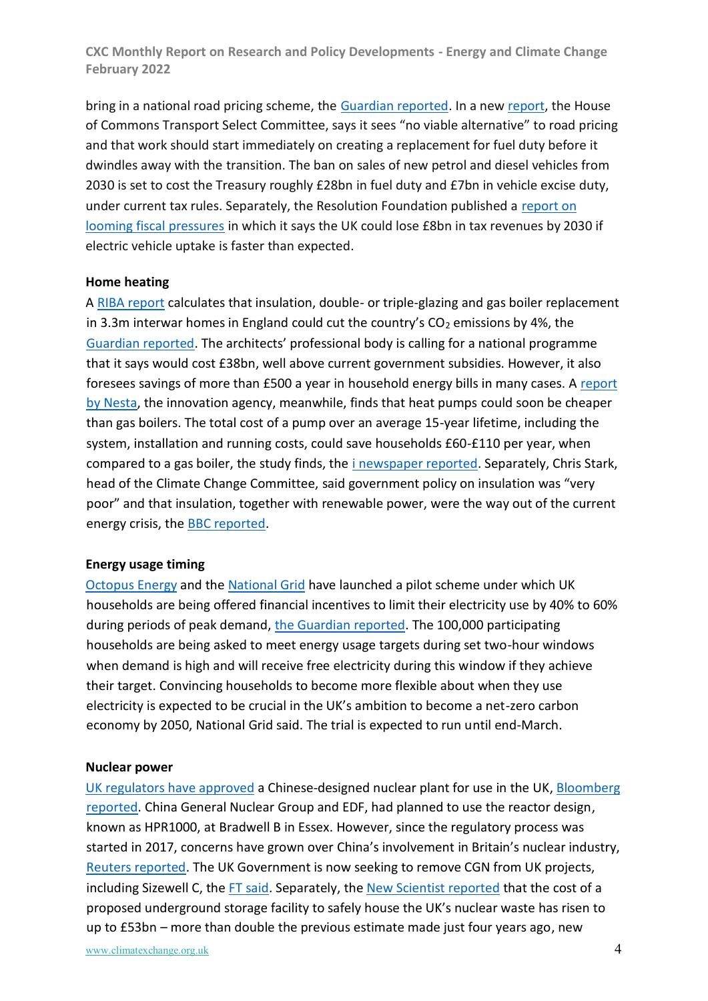bring in a national road pricing scheme, the [Guardian reported.](https://www.theguardian.com/politics/2022/feb/04/uk-road-pricing-transport-committee-mps-electric-shift) In a new [report,](https://committees.parliament.uk/committee/153/transport-committee/publications/) the House of Commons Transport Select Committee, says it sees "no viable alternative" to road pricing and that work should start immediately on creating a replacement for fuel duty before it dwindles away with the transition. The ban on sales of new petrol and diesel vehicles from 2030 is set to cost the Treasury roughly £28bn in fuel duty and £7bn in vehicle excise duty, under current tax rules. Separately, the Resolution Foundation published a [report on](https://economy2030.resolutionfoundation.org/reports/under-pressure/)  [looming fiscal pressures](https://economy2030.resolutionfoundation.org/reports/under-pressure/) in which it says the UK could lose £8bn in tax revenues by 2030 if electric vehicle uptake is faster than expected.

#### **Home heating**

A [RIBA report](https://www.architecture.com/knowledge-and-resources/resources-landing-page/homes-for-heroes) calculates that insulation, double- or triple-glazing and gas boiler replacement in 3.3m interwar homes in England could cut the country's  $CO<sub>2</sub>$  emissions by 4%, the [Guardian reported](https://www.theguardian.com/society/2022/feb/11/architects-call-for-mass-insulation-of-englands-interwar-suburbs). The architects' professional body is calling for a national programme that it says would cost £38bn, well above current government subsidies. However, it also foresees savings of more than £500 a year in household energy bills in many cases. A [report](https://www.nesta.org.uk/report/reduce-the-cost-of-heat-pumps/)  [by Nesta,](https://www.nesta.org.uk/report/reduce-the-cost-of-heat-pumps/) the innovation agency, meanwhile, finds that heat pumps could soon be cheaper than gas boilers. The total cost of a pump over an average 15-year lifetime, including the system, installation and running costs, could save households £60-£110 per year, when compared to a gas boiler, the study finds, the [i newspaper reported.](https://inews.co.uk/inews-lifestyle/money/bills/heat-pumps-cost-cheaper-gas-boilers-changes-air-source-1490896) Separately, Chris Stark, head of the Climate Change Committee, said government policy on insulation was "very poor" and that insulation, together with renewable power, were the way out of the current energy crisis, th[e BBC reported.](https://www.bbc.co.uk/news/science-environment-60290876)

#### **Energy usage timing**

[Octopus Energy](https://octopus.energy/blog/the-big-dirty-turn-down-free-electricity-trial/) and the [National Grid](https://www.nationalgrideso.com/news/national-grid-eso-and-octopus-energy-launch-trial-unleash-demand-flexibility-winter) have launched a pilot scheme under which UK households are being offered financial incentives to limit their electricity use by 40% to 60% during periods of peak demand, [the Guardian reported.](https://www.theguardian.com/business/2022/feb/08/trial-scheme-will-pay-householders-to-delay-electricity-use) The 100,000 participating households are being asked to meet energy usage targets during set two-hour windows when demand is high and will receive free electricity during this window if they achieve their target. Convincing households to become more flexible about when they use electricity is expected to be crucial in the UK's ambition to become a net-zero carbon economy by 2050, National Grid said. The trial is expected to run until end-March.

#### **Nuclear power**

[UK regulators have approved](https://www.gov.uk/government/news/regulators-finish-design-assessment-of-new-nuclear-power-station) a Chinese-designed nuclear plant for use in the UK, [Bloomberg](https://www.bloomberg.com/news/articles/2022-02-07/u-k-approves-chinese-designed-nuclear-reactor-amid-controversy)  [reported.](https://www.bloomberg.com/news/articles/2022-02-07/u-k-approves-chinese-designed-nuclear-reactor-amid-controversy) China General Nuclear Group and EDF, had planned to use the reactor design, known as HPR1000, at Bradwell B in Essex. However, since the regulatory process was started in 2017, concerns have grown over China's involvement in Britain's nuclear industry, [Reuters reported.](https://www.reuters.com/article/britain-china-nuclearpower/british-regulator-approves-china-designed-nuclear-reactor-idUSL8N2UI26D?utm_campaign=Carbon%20Brief%20Daily%20Briefing&utm_content=20220208&utm_medium=email&utm_source=Revue%20Daily) The UK Government is now seeking to remove CGN from UK projects, including Sizewell C, the [FT said.](https://www.ft.com/content/95524dfc-6503-48c7-85ad-a116bdf2c9ed) Separately, the [New Scientist reported](https://www.newscientist.com/article/2309444-cost-of-new-uk-underground-nuclear-waste-facility-jumps-to-53-billion/) that the cost of a proposed underground storage facility to safely house the UK's nuclear waste has risen to up to £53bn – more than double the previous estimate made just four years ago, new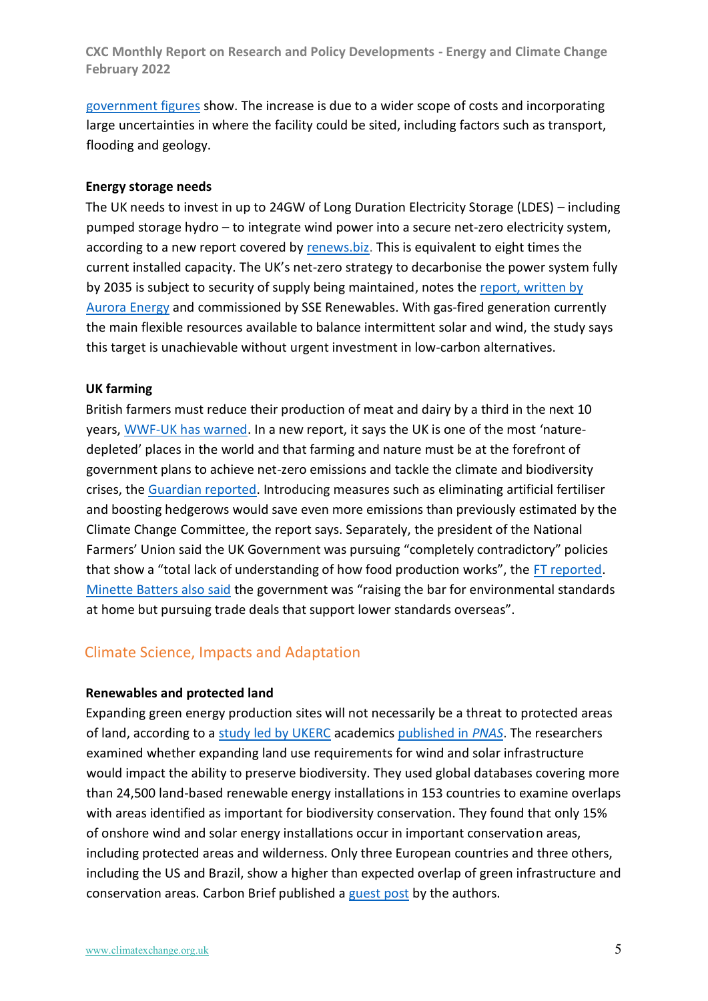[government figures](https://assets.publishing.service.gov.uk/government/uploads/system/uploads/attachment_data/file/1057186/GDF_Annual_Report_2020_21.pdf) show. The increase is due to a wider scope of costs and incorporating large uncertainties in where the facility could be sited, including factors such as transport, flooding and geology.

#### **Energy storage needs**

The UK needs to invest in up to 24GW of Long Duration Electricity Storage (LDES) – including pumped storage hydro – to integrate wind power into a secure net-zero electricity system, according to a new report covered by [renews.biz.](https://renews.biz/75793/uk-needs-24gw-of-storage-to-integrate-wind-power/) This is equivalent to eight times the current installed capacity. The UK's net-zero strategy to decarbonise the power system fully by 2035 is subject to security of supply being maintained, notes the report, written by [Aurora Energy](https://auroraer.com/media/long-duration-electricity-storage-in-gb/) and commissioned by SSE Renewables. With gas-fired generation currently the main flexible resources available to balance intermittent solar and wind, the study says this target is unachievable without urgent investment in low-carbon alternatives.

#### **UK farming**

British farmers must reduce their production of meat and dairy by a third in the next 10 years, [WWF-UK has warned.](https://www.wwf.org.uk/sites/default/files/2022-02/WWF_land_of_plenty.pdf) In a new report, it says the UK is one of the most 'naturedepleted' places in the world and that farming and nature must be at the forefront of government plans to achieve net-zero emissions and tackle the climate and biodiversity crises, the [Guardian reported.](https://www.theguardian.com/environment/2022/feb/08/cut-meat-and-dairy-by-a-third-to-save-climate-british-farmers-told) Introducing measures such as eliminating artificial fertiliser and boosting hedgerows would save even more emissions than previously estimated by the Climate Change Committee, the report says. Separately, the president of the National Farmers' Union said the UK Government was pursuing "completely contradictory" policies that show a "total lack of understanding of how food production works", the [FT reported.](https://www.ft.com/content/f453211d-c3b1-4b61-b4af-15250ed6d5b8) [Minette Batters also said](https://www.nfuonline.com/updates-and-information/nfu22-read-nfu-conference-2022-minette-batters-speech-in-full/) the government was "raising the bar for environmental standards at home but pursuing trade deals that support lower standards overseas".

## Climate Science, Impacts and Adaptation

#### **Renewables and protected land**

Expanding green energy production sites will not necessarily be a threat to protected areas of land, according to [a study led by UKERC](https://ukerc.ac.uk/publications/renewable-energy-and-conservation/) academics [published in](https://www.pnas.org/doi/full/10.1073/pnas.2104764119) *PNAS*. The researchers examined whether expanding land use requirements for wind and solar infrastructure would impact the ability to preserve biodiversity. They used global databases covering more than 24,500 land-based renewable energy installations in 153 countries to examine overlaps with areas identified as important for biodiversity conservation. They found that only 15% of onshore wind and solar energy installations occur in important conservation areas, including protected areas and wilderness. Only three European countries and three others, including the US and Brazil, show a higher than expected overlap of green infrastructure and conservation areas. Carbon Brief published a [guest post](https://www.carbonbrief.org/guest-post-does-renewable-energy-threaten-efforts-to-conserve-biodiversity-on-land?utm_campaign=Carbon%20Brief%20Daily%20Briefing&utm_content=20220204&utm_medium=email&utm_source=Revue%20Daily) by the authors.